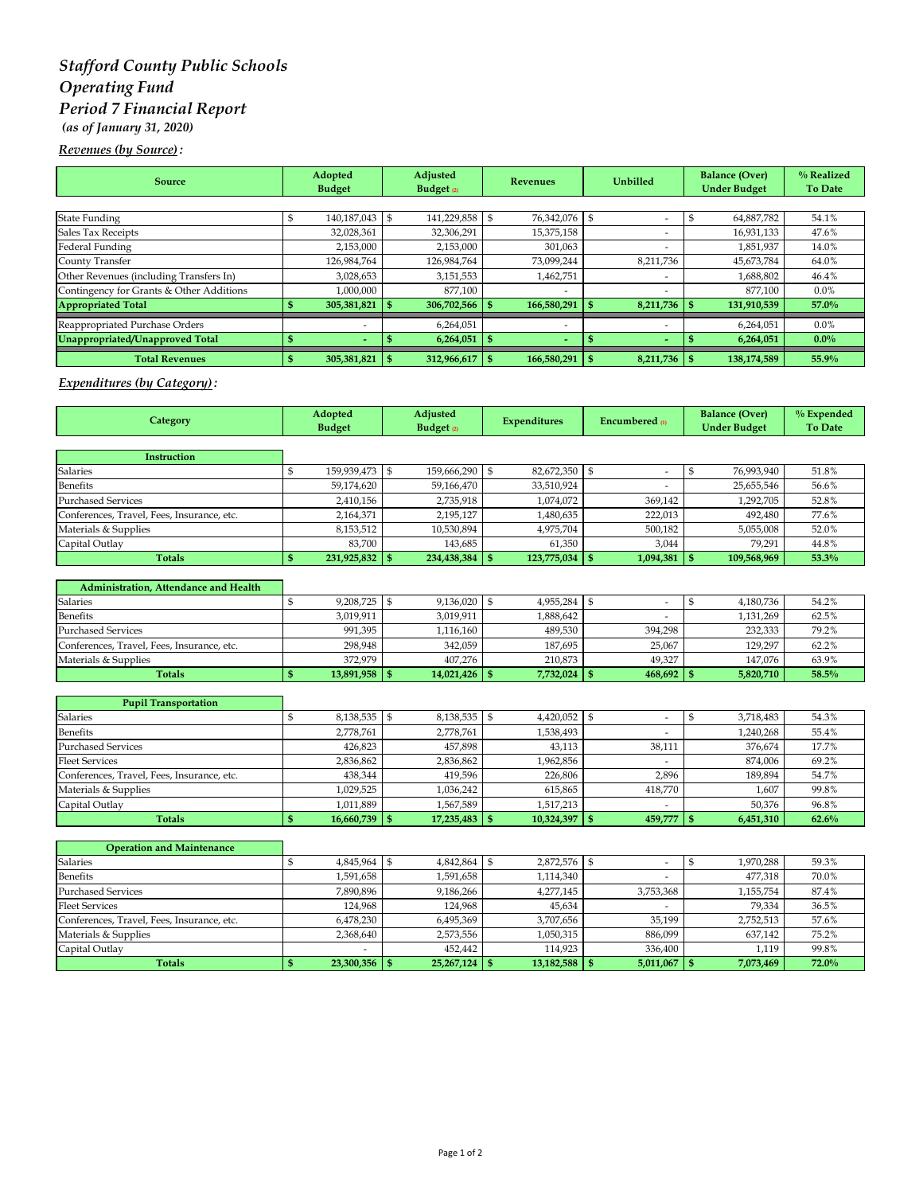# *Stafford County Public Schools Operating Fund Period 7 Financial Report (as of January 31, 2020)*

## *Revenues (by Source) :*

| <b>Source</b>                            | Adopted<br><b>Budget</b> |                          | Adjusted<br>Budget $\varrho$ |             | <b>Revenues</b> |                          | <b>Unbilled</b> |                          | <b>Balance (Over)</b><br><b>Under Budget</b> |             | % Realized<br>To Date |
|------------------------------------------|--------------------------|--------------------------|------------------------------|-------------|-----------------|--------------------------|-----------------|--------------------------|----------------------------------------------|-------------|-----------------------|
|                                          |                          |                          |                              |             |                 |                          |                 |                          |                                              |             |                       |
| <b>State Funding</b>                     |                          | 140,187,043              | - \$                         | 141,229,858 |                 | 76,342,076               | - \$            | <u>. на п</u>            |                                              | 64,887,782  | 54.1%                 |
| Sales Tax Receipts                       |                          | 32,028,361               |                              | 32,306,291  |                 | 15,375,158               |                 | $\overline{a}$           |                                              | 16,931,133  | 47.6%                 |
| Federal Funding                          |                          | 2,153,000                |                              | 2,153,000   |                 | 301,063                  |                 |                          |                                              | 1,851,937   | 14.0%                 |
| County Transfer                          |                          | 126,984,764              |                              | 126,984,764 |                 | 73,099,244               |                 | 8,211,736                |                                              | 45,673,784  | 64.0%                 |
| Other Revenues (including Transfers In)  |                          | 3,028,653                |                              | 3,151,553   |                 | 1,462,751                |                 | $\overline{a}$           |                                              | 1,688,802   | 46.4%                 |
| Contingency for Grants & Other Additions |                          | 1,000,000                |                              | 877,100     |                 | $\overline{\phantom{a}}$ |                 | $\overline{\phantom{a}}$ |                                              | 877.100     | $0.0\%$               |
| <b>Appropriated Total</b>                |                          | 305,381,821              |                              | 306,702,566 |                 | 166,580,291              |                 | 8,211,736                |                                              | 131,910,539 | 57.0%                 |
| Reappropriated Purchase Orders           |                          | $\overline{\phantom{a}}$ |                              | 6,264,051   |                 | $\overline{\phantom{a}}$ |                 | $\overline{a}$           |                                              | 6,264,051   | $0.0\%$               |
| Unappropriated/Unapproved Total          |                          | $\overline{\phantom{0}}$ |                              |             |                 | $\overline{\phantom{a}}$ |                 | $\overline{a}$           |                                              | 6,264,051   | $0.0\%$               |
| <b>Total Revenues</b>                    |                          | 305,381,821              |                              | 312,966,617 |                 | 166,580,291              |                 |                          |                                              | 138,174,589 | 55.9%                 |

## *Expenditures (by Category) :*

| Category                                   | Adopted<br><b>Budget</b> |             | Adjusted<br>Budget <sub>(2)</sub> |             | <b>Expenditures</b> |             | Encumbered m   |                          | <b>Balance (Over)</b><br><b>Under Budget</b> |             | % Expended<br><b>To Date</b> |
|--------------------------------------------|--------------------------|-------------|-----------------------------------|-------------|---------------------|-------------|----------------|--------------------------|----------------------------------------------|-------------|------------------------------|
|                                            |                          |             |                                   |             |                     |             |                |                          |                                              |             |                              |
| Instruction                                |                          |             |                                   |             |                     |             |                |                          |                                              |             |                              |
| Salaries                                   | ${\mathbb S}$            | 159,939,473 | $\mathfrak{s}$                    | 159,666,290 | \$                  | 82,672,350  | \$             |                          | $\mathbb{S}$                                 | 76,993,940  | 51.8%                        |
| <b>Benefits</b>                            |                          | 59,174,620  |                                   | 59,166,470  |                     | 33,510,924  |                |                          |                                              | 25,655,546  | 56.6%                        |
| <b>Purchased Services</b>                  |                          | 2,410,156   |                                   | 2,735,918   |                     | 1,074,072   |                | 369.142                  |                                              | 1,292,705   | 52.8%                        |
| Conferences, Travel, Fees, Insurance, etc. |                          | 2,164,371   |                                   | 2.195.127   |                     | 1,480,635   |                | 222.013                  |                                              | 492.480     | 77.6%                        |
| Materials & Supplies                       |                          | 8,153,512   |                                   | 10,530,894  |                     | 4,975,704   |                | 500,182                  |                                              | 5,055,008   | 52.0%                        |
| Capital Outlay                             |                          | 83,700      |                                   | 143,685     |                     | 61,350      |                | 3,044                    |                                              | 79,291      | 44.8%                        |
| <b>Totals</b>                              | $\mathbf{s}$             | 231,925,832 | l \$                              | 234,438,384 | \$                  | 123,775,034 | $\mathbf{s}$   | 1,094,381                | l \$                                         | 109,568,969 | 53.3%                        |
| Administration, Attendance and Health      |                          |             |                                   |             |                     |             |                |                          |                                              |             |                              |
| Salaries                                   | ${\mathbb S}$            | 9.208.725   | $\mathfrak{S}$                    | 9,136,020   | ${\mathbb S}$       | 4,955,284   | <b>S</b>       | $\overline{a}$           | $\$$                                         | 4,180,736   | 54.2%                        |
| <b>Benefits</b>                            |                          | 3,019,911   |                                   | 3,019,911   |                     | 1,888,642   |                |                          |                                              | 1,131,269   | 62.5%                        |
| <b>Purchased Services</b>                  |                          | 991,395     |                                   | 1,116,160   |                     | 489,530     |                | 394,298                  |                                              | 232,333     | 79.2%                        |
| Conferences, Travel, Fees, Insurance, etc. |                          | 298,948     |                                   | 342,059     |                     | 187,695     |                | 25,067                   |                                              | 129,297     | 62.2%                        |
| Materials & Supplies                       |                          | 372,979     |                                   | 407,276     |                     | 210,873     |                | 49,327                   |                                              | 147,076     | 63.9%                        |
| <b>Totals</b>                              | $\mathbf{s}$             | 13,891,958  | l \$                              | 14,021,426  | $\mathbf{s}$        | 7,732,024   | l \$           | $468,692$ \$             |                                              | 5,820,710   | 58.5%                        |
|                                            |                          |             |                                   |             |                     |             |                |                          |                                              |             |                              |
| <b>Pupil Transportation</b>                |                          |             |                                   |             |                     |             |                |                          |                                              |             |                              |
| <b>Salaries</b>                            | \$                       | 8,138,535   | $\mathbb{S}$                      | 8,138,535   | \$                  | 4,420,052   | $\mathfrak{s}$ | $\sim$                   | \$                                           | 3,718,483   | 54.3%                        |
| <b>Benefits</b>                            |                          | 2,778,761   |                                   | 2,778,761   |                     | 1,538,493   |                |                          |                                              | 1,240,268   | 55.4%                        |
| <b>Purchased Services</b>                  |                          | 426,823     |                                   | 457,898     |                     | 43,113      |                | 38,111                   |                                              | 376,674     | 17.7%                        |
| <b>Fleet Services</b>                      |                          | 2,836,862   |                                   | 2,836,862   |                     | 1,962,856   |                |                          |                                              | 874,006     | 69.2%                        |
| Conferences, Travel, Fees, Insurance, etc. |                          | 438,344     |                                   | 419,596     |                     | 226,806     |                | 2,896                    |                                              | 189,894     | 54.7%                        |
| Materials & Supplies                       |                          | 1,029,525   |                                   | 1,036,242   |                     | 615,865     |                | 418,770                  |                                              | 1,607       | 99.8%                        |
| Capital Outlay                             |                          | 1,011,889   |                                   | 1,567,589   |                     | 1,517,213   |                |                          |                                              | 50,376      | 96.8%                        |
| <b>Totals</b>                              | \$                       | 16,660,739  | l \$                              | 17,235,483  | $\mathbf{s}$        | 10,324,397  | $\mathsf{I}$ s | 459,777                  | <b>S</b>                                     | 6,451,310   | 62.6%                        |
| <b>Operation and Maintenance</b>           |                          |             |                                   |             |                     |             |                |                          |                                              |             |                              |
| <b>Salaries</b>                            | \$                       | 4,845,964   | \$                                | 4.842.864   | ${\mathbb S}$       | 2,872,576   | l \$           | $\overline{\phantom{a}}$ | \$                                           | 1,970,288   | 59.3%                        |
| <b>Benefits</b>                            |                          | 1,591,658   |                                   | 1,591,658   |                     | 1,114,340   |                |                          |                                              | 477,318     | 70.0%                        |
| <b>Purchased Services</b>                  |                          | 7,890,896   |                                   | 9,186,266   |                     | 4,277,145   |                | 3,753,368                |                                              | 1,155,754   | 87.4%                        |
| <b>Fleet Services</b>                      |                          | 124,968     |                                   | 124,968     |                     | 45,634      |                |                          |                                              | 79,334      | 36.5%                        |
| Conferences, Travel, Fees, Insurance, etc. |                          | 6,478,230   |                                   | 6,495,369   |                     | 3,707,656   |                | 35,199                   |                                              | 2,752,513   | 57.6%                        |
| Materials & Supplies                       |                          | 2,368,640   |                                   | 2,573,556   |                     | 1,050,315   |                | 886,099                  |                                              | 637,142     | 75.2%                        |
| Capital Outlay                             |                          |             |                                   | 452,442     |                     | 114,923     |                | 336,400                  |                                              | 1,119       | 99.8%                        |
| <b>Totals</b>                              | \$                       | 23,300,356  | - \$                              | 25,267,124  | \$                  | 13,182,588  | $\mathbb{S}$   | 5,011,067                | l \$                                         | 7,073,469   | 72.0%                        |